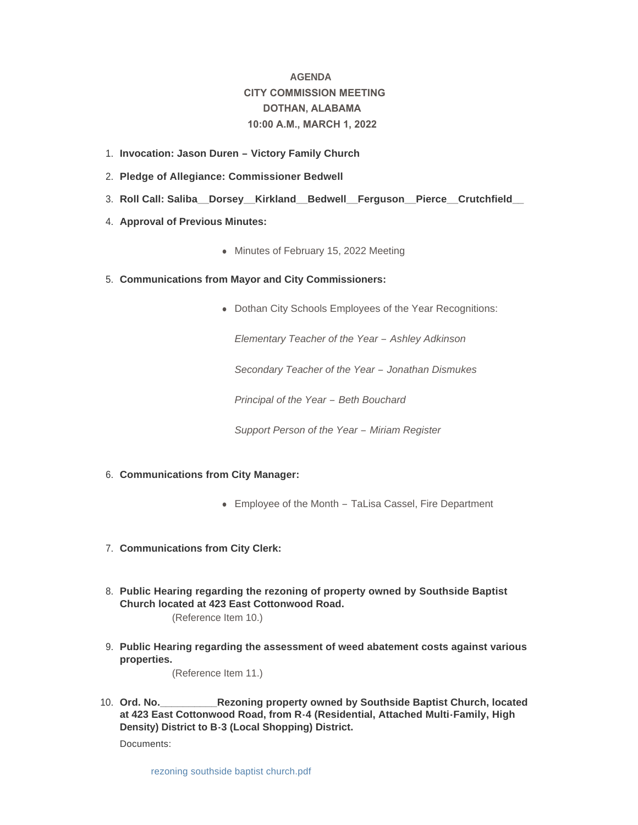# **AGENDA CITY COMMISSION MEETING DOTHAN, ALABAMA 10:00 A.M., MARCH 1, 2022**

- **Invocation: Jason Duren – Victory Family Church**  1.
- **Pledge of Allegiance: Commissioner Bedwell** 2.
- **Roll Call: Saliba\_\_Dorsey\_\_Kirkland\_\_Bedwell\_\_Ferguson\_\_Pierce\_\_Crutchfield\_\_**  3.
- 4. **Approval of Previous Minutes:** 
	- Minutes of February 15, 2022 Meeting
- **Communications from Mayor and City Commissioners:** 5.
	- Dothan City Schools Employees of the Year Recognitions:

*Elementary Teacher of the Year – Ashley Adkinson*

*Secondary Teacher of the Year – Jonathan Dismukes*

*Principal of the Year – Beth Bouchard*

*Support Person of the Year – Miriam Register*

- **Communications from City Manager:** 6.
	- Employee of the Month TaLisa Cassel, Fire Department
- **Communications from City Clerk:** 7.
- **Public Hearing regarding the rezoning of property owned by Southside Baptist**  8. **Church located at 423 East Cottonwood Road.**

(Reference Item 10.)

**Public Hearing regarding the assessment of weed abatement costs against various**  9. **properties.** 

(Reference Item 11.)

**Rezoning property owned by Southside Baptist Church, located at 423 East Cottonwood Road, from R-4 (Residential, Attached Multi-Family, High Density) District to B-3 (Local Shopping) District.** 10. Ord. No.

Documents: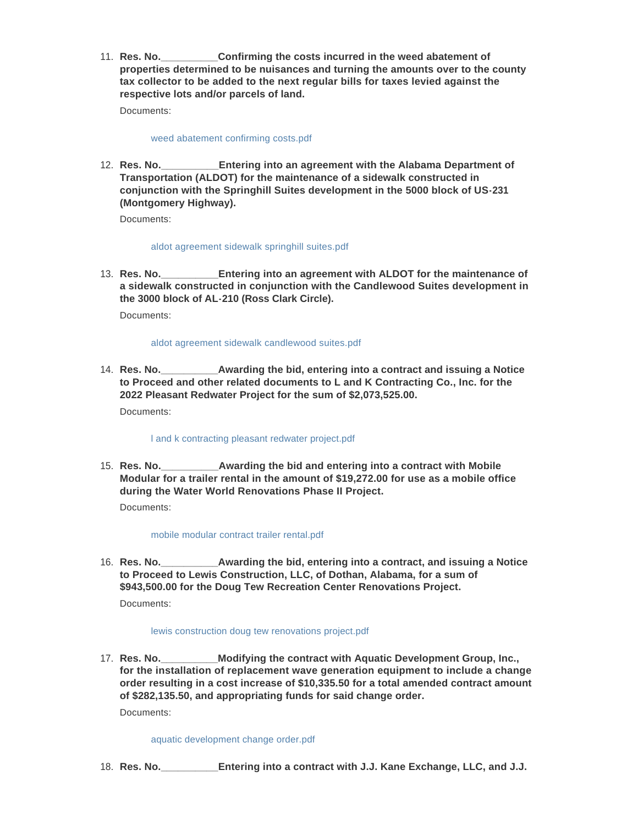**Confirming the costs incurred in the weed abatement of properties determined to be nuisances and turning the amounts over to the county tax collector to be added to the next regular bills for taxes levied against the respective lots and/or parcels of land.** 11. Res. No.

Documents:

# [weed abatement confirming costs.pdf](http://www.dothan.org/AgendaCenter/ViewFile/Item/7610?fileID=12026)

**Entering into an agreement with the Alabama Department of Transportation (ALDOT) for the maintenance of a sidewalk constructed in conjunction with the Springhill Suites development in the 5000 block of US-231 (Montgomery Highway).** 12. **Res. No.** 

Documents:

## [aldot agreement sidewalk springhill suites.pdf](http://www.dothan.org/AgendaCenter/ViewFile/Item/7611?fileID=12027)

**Res. No.\_\_\_\_\_\_\_\_\_\_Entering into an agreement with ALDOT for the maintenance of**  13. **a sidewalk constructed in conjunction with the Candlewood Suites development in the 3000 block of AL-210 (Ross Clark Circle).**

Documents:

## [aldot agreement sidewalk candlewood suites.pdf](http://www.dothan.org/AgendaCenter/ViewFile/Item/7612?fileID=12028)

**Awarding the bid, entering into a contract and issuing a Notice to Proceed and other related documents to L and K Contracting Co., Inc. for the 2022 Pleasant Redwater Project for the sum of \$2,073,525.00.** 14. **Res. No.** 

Documents:

## [l and k contracting pleasant redwater project.pdf](http://www.dothan.org/AgendaCenter/ViewFile/Item/7613?fileID=12029)

**Awarding the bid and entering into a contract with Mobile Modular for a trailer rental in the amount of \$19,272.00 for use as a mobile office during the Water World Renovations Phase II Project.** 15. **Res. No.** 

Documents:

## [mobile modular contract trailer rental.pdf](http://www.dothan.org/AgendaCenter/ViewFile/Item/7614?fileID=12030)

**EXED.** Awarding the bid, entering into a contract, and issuing a Notice **to Proceed to Lewis Construction, LLC, of Dothan, Alabama, for a sum of \$943,500.00 for the Doug Tew Recreation Center Renovations Project.** 16. Res. No.\_\_

Documents:

# [lewis construction doug tew renovations project.pdf](http://www.dothan.org/AgendaCenter/ViewFile/Item/7615?fileID=12031)

**Modifying the contract with Aquatic Development Group, Inc., for the installation of replacement wave generation equipment to include a change order resulting in a cost increase of \$10,335.50 for a total amended contract amount of \$282,135.50, and appropriating funds for said change order.** 17. Res. No.

Documents:

[aquatic development change order.pdf](http://www.dothan.org/AgendaCenter/ViewFile/Item/7616?fileID=12032)

**Entering into a contract with J.J. Kane Exchange, LLC, and J.J.** 18. **Res. No.**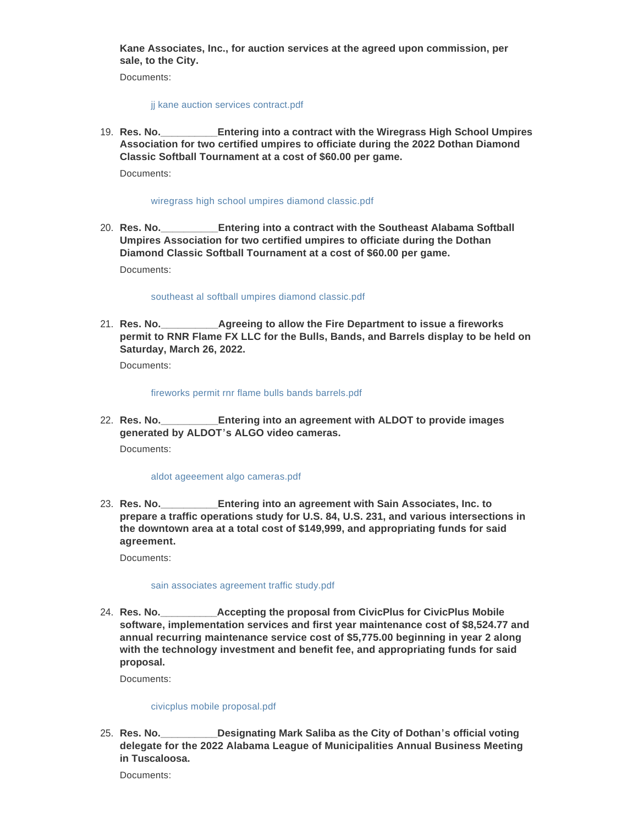**Kane Associates, Inc., for auction services at the agreed upon commission, per sale, to the City.**

Documents:

#### [jj kane auction services contract.pdf](http://www.dothan.org/AgendaCenter/ViewFile/Item/7617?fileID=12033)

**Entering into a contract with the Wiregrass High School Umpires Association for two certified umpires to officiate during the 2022 Dothan Diamond Classic Softball Tournament at a cost of \$60.00 per game.** 19. **Res. No.** 

Documents:

#### [wiregrass high school umpires diamond classic.pdf](http://www.dothan.org/AgendaCenter/ViewFile/Item/7618?fileID=12034)

**Entering into a contract with the Southeast Alabama Softball Umpires Association for two certified umpires to officiate during the Dothan Diamond Classic Softball Tournament at a cost of \$60.00 per game.** 20. Res. No.

Documents:

#### [southeast al softball umpires diamond classic.pdf](http://www.dothan.org/AgendaCenter/ViewFile/Item/7619?fileID=12035)

**Agreeing to allow the Fire Department to issue a fireworks permit to RNR Flame FX LLC for the Bulls, Bands, and Barrels display to be held on Saturday, March 26, 2022.** 21. Res. No.

Documents:

[fireworks permit rnr flame bulls bands barrels.pdf](http://www.dothan.org/AgendaCenter/ViewFile/Item/7620?fileID=12036)

**Entering into an agreement with ALDOT to provide images generated by ALDOT's ALGO video cameras.** 22. **Res. No.** 

Documents:

## [aldot ageeement algo cameras.pdf](http://www.dothan.org/AgendaCenter/ViewFile/Item/7621?fileID=12037)

**Entering into an agreement with Sain Associates, Inc. to prepare a traffic operations study for U.S. 84, U.S. 231, and various intersections in the downtown area at a total cost of \$149,999, and appropriating funds for said agreement.** 23. Res. No.

Documents:

#### [sain associates agreement traffic study.pdf](http://www.dothan.org/AgendaCenter/ViewFile/Item/7622?fileID=12038)

**Accepting the proposal from CivicPlus for CivicPlus Mobile software, implementation services and first year maintenance cost of \$8,524.77 and annual recurring maintenance service cost of \$5,775.00 beginning in year 2 along with the technology investment and benefit fee, and appropriating funds for said proposal.** 24. Res. No.

Documents:

## [civicplus mobile proposal.pdf](http://www.dothan.org/AgendaCenter/ViewFile/Item/7623?fileID=12039)

**Resignating Mark Saliba as the City of Dothan's official voting delegate for the 2022 Alabama League of Municipalities Annual Business Meeting in Tuscaloosa.** 25. Res. No.

Documents: